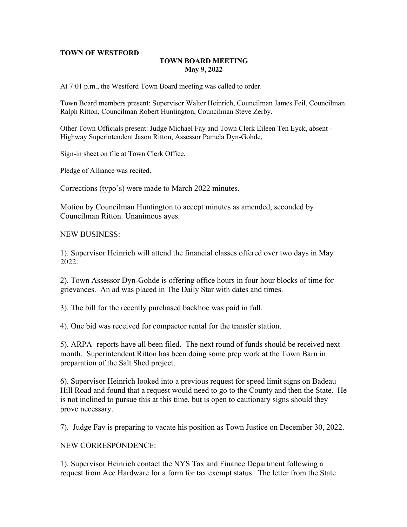### **TOWN OF WESTFORD**

## **TOWN BOARD MEETING May 9, 2022**

At 7:01 p.m., the Westford Town Board meeting was called to order.

Town Board members present: Supervisor Walter Heinrich, Councilman James Feil, Councilman Ralph Ritton, Councilman Robert Huntington, Councilman Steve Zerby.

Other Town Officials present: Judge Michael Fay and Town Clerk Eileen Ten Eyck, absent - Highway Superintendent Jason Ritton, Assessor Pamela Dyn-Gohde,

Sign-in sheet on file at Town Clerk Office.

Pledge of Alliance was recited.

Corrections (typo's) were made to March 2022 minutes.

Motion by Councilman Huntington to accept minutes as amended, seconded by Councilman Ritton. Unanimous ayes.

NEW BUSINESS:

1). Supervisor Heinrich will attend the financial classes offered over two days in May 2022.

2). Town Assessor Dyn-Gohde is offering office hours in four hour blocks of time for grievances. An ad was placed in The Daily Star with dates and times.

3). The bill for the recently purchased backhoe was paid in full.

4). One bid was received for compactor rental for the transfer station.

5). ARPA- reports have all been filed. The next round of funds should be received next month. Superintendent Ritton has been doing some prep work at the Town Barn in preparation of the Salt Shed project.

6). Supervisor Heinrich looked into a previous request for speed limit signs on Badeau Hill Road and found that a request would need to go to the County and then the State. He is not inclined to pursue this at this time, but is open to cautionary signs should they prove necessary.

7). Judge Fay is preparing to vacate his position as Town Justice on December 30, 2022.

#### NEW CORRESPONDENCE:

1). Supervisor Heinrich contact the NYS Tax and Finance Department following a request from Ace Hardware for a form for tax exempt status. The letter from the State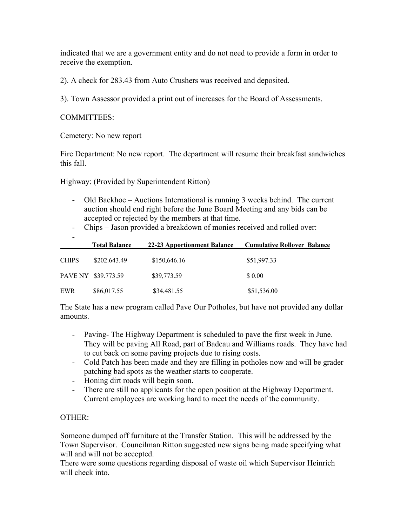indicated that we are a government entity and do not need to provide a form in order to receive the exemption.

2). A check for 283.43 from Auto Crushers was received and deposited.

3). Town Assessor provided a print out of increases for the Board of Assessments.

## COMMITTEES:

Cemetery: No new report

Fire Department: No new report. The department will resume their breakfast sandwiches this fall.

Highway: (Provided by Superintendent Ritton)

- Old Backhoe Auctions International is running 3 weeks behind. The current auction should end right before the June Board Meeting and any bids can be accepted or rejected by the members at that time.
- Chips Jason provided a breakdown of monies received and rolled over:

|              | <b>Total Balance</b> | 22-23 Apportionment Balance | <b>Cumulative Rollover Balance</b> |
|--------------|----------------------|-----------------------------|------------------------------------|
| <b>CHIPS</b> | \$202.643.49         | \$150,646.16                | \$51,997.33                        |
|              | PAVE NY \$39.773.59  | \$39,773.59                 | \$0.00                             |
| EWR          | \$86,017.55          | \$34,481.55                 | \$51,536.00                        |

The State has a new program called Pave Our Potholes, but have not provided any dollar amounts.

- Paving- The Highway Department is scheduled to pave the first week in June. They will be paving All Road, part of Badeau and Williams roads. They have had to cut back on some paving projects due to rising costs.
- Cold Patch has been made and they are filling in potholes now and will be grader patching bad spots as the weather starts to cooperate.
- Honing dirt roads will begin soon.
- There are still no applicants for the open position at the Highway Department. Current employees are working hard to meet the needs of the community.

# OTHER:

Someone dumped off furniture at the Transfer Station. This will be addressed by the Town Supervisor. Councilman Ritton suggested new signs being made specifying what will and will not be accepted.

There were some questions regarding disposal of waste oil which Supervisor Heinrich will check into.